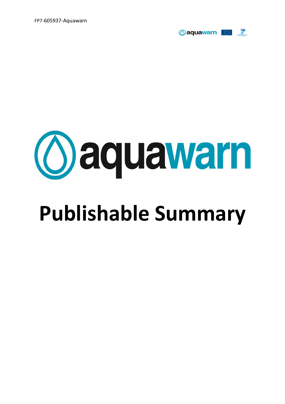FP7-605937-Aquawarn





# **Publishable Summary**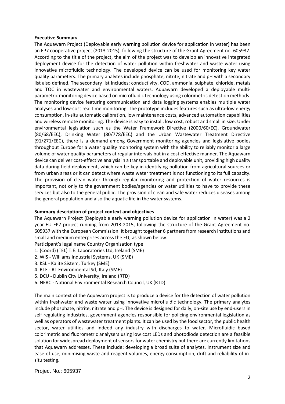#### **Executive Summa**ry

The Aquawarn Project (Deployable early warning pollution device for application in water) has been an FP7 cooperative project (2013-2015), following the structure of the Grant Agreement no. 605937. According to the title of the project, the aim of the project was to develop an innovative integrated deployment device for the detection of water pollution within freshwater and waste water using innovative microfluidic technology. The developed device can be used for monitoring key water quality parameters. The primary analytes include phosphate, nitrite, nitrate and pH with a secondary list also defined. The secondary list includes: conductivity, COD, ammonia, sulphate, chloride, metals and TOC in wastewater and environmental waters. Aquawarn developed a deployable multiparametric monitoring device based on microfluidic technology using colorimetric detection methods. The monitoring device featuring communication and data logging systems enables multiple water analyses and low-cost real time monitoring. The prototype includes features such as ultra-low energy consumption, in-situ automatic calibration, low maintenance costs, advanced automation capabilities and wireless remote monitoring. The device is easy to install, low cost, robust and small in size. Under environmental legislation such as the Water Framework Directive (2000/60/EC), Groundwater (80/68/EEC), Drinking Water (80/778/EEC) and the Urban Wastewater Treatment Directive (91/271/EEC), there is a demand among Government monitoring agencies and legislative bodies throughout Europe for a water quality monitoring system with the ability to reliably monitor a large volume of water quality parameters at regular intervals but in a cost effective manner. The Aquawarn device can deliver cost-effective analysis in a transportable and deployable unit, providing high quality data during field deployment, which can be key in identifying pollution from agricultural sources or from urban areas or it can detect where waste water treatment is not functioning to its full capacity. The provision of clean water through regular monitoring and protection of water resources is important, not only to the government bodies/agencies or water utilities to have to provide these services but also to the general public. The provision of clean and safe water reduces diseases among the general population and also the aquatic life in the water systems.

# **Summary description of project context and objectives**

The Aquawarn Project (Deployable early warning pollution device for application in water) was a 2 year EU FP7 project running from 2013-2015, following the structure of the Grant Agreement no. 605937 with the European Commission. It brought together 6 partners from research institutions and small and medium enterprises across the EU, as shown below.

Participant's legal name Country Organisation type

- 1. (Coord) (TEL) T.E. Laboratories Ltd, Ireland (SME)
- 2. WIS Williams Industrial Systems, UK (SME)
- 3. KSL Kalite Sistem, Turkey (SME)
- 4. RTE RT Environmental Srl, Italy (SME)
- 5. DCU Dublin City University, Ireland (RTD)
- 6. NERC National Environmental Research Council, UK (RTD)

The main context of the Aquawarn project is to produce a device for the detection of water pollution within freshwater and waste water using innovative microfluidic technology. The primary analytes include phosphate, nitrite, nitrate and pH. The device is designed for daily, on-site use by end-users in self regulating industries, government agencies responsible for policing environmental legislation as well as operators of wastewater treatment plants. It can be used by the food sector, the public health sector, water utilities and indeed any industry with discharges to water. Microfluidic based colorimetric and fluorometric analysers using low cost LEDs and photodiode detection are a feasible solution for widespread deployment of sensors for water chemistry but there are currently limitations that Aquawarn addresses. These include: developing a broad suite of analytes, instrument size and ease of use, minimising waste and reagent volumes, energy consumption, drift and reliability of insitu testing.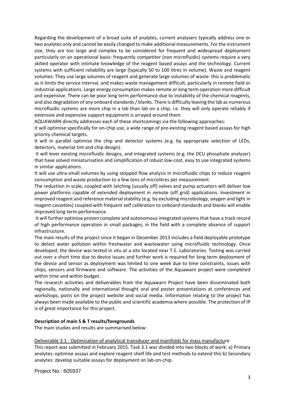Regarding the development of a broad suite of analytes, current analysers typically address one or two analytes only and cannot be easily changed to make additional measurements. For the instrument size, they are too large and complex to be considered for frequent and widespread deployment particularly on an operational basis: frequently competitor (non microfluidic) systems require a very skilled operator with intimate knowledge of the reagent based assays and the technology. Current systems with sufficient reliability are large (typically 50 to 100 litres in volume). Waste and reagent volumes: They use large volumes of reagent and generate large volumes of waste: this is problematic as it limits the service interval, and makes waste management difficult, particularly in remote field or industrial applications. Large energy consumption makes remote or long term operation more difficult and expensive. There can be poor long term performance due to instability of the chemical reagents, and also degradation of any onboard standards / blanks. There is difficulty leaving the lab as numerous microfluidic systems are more chip in a lab than lab on a chip, i.e. they will only operate reliably if extensive and expensive support equipment is arrayed around them.

AQUAWARN directly addresses each of these shortcomings via the following approaches:

It will optimise specifically for on-chip use, a wide range of pre-existing reagent based assays for high priority chemical targets.

It will in parallel optimise the chip and detector systems (e.g. by appropriate selection of LEDs, detectors, material tint and chip design).

It will lever existing microfluidic designs, and integrated systems (e.g. the DCU phosphate analyser) that have solved miniaturisation and simplification of robust low-cost, easy to use integrated systems in similar applications.

It will use ultra-small volumes by using stopped flow analysis in microfluidic chips to reduce reagent consumption and waste production to a few tens of microlitres per measurement.

The reduction in scale, coupled with latching (usually off) valves and pump actuators will deliver low power platforms capable of extended deployment in remote (off grid) applications. Investment in improved reagent and reference material stability (e.g. by excluding microbiology, oxygen and light in reagent cassettes) coupled with frequent self calibration to onboard standards and blanks will enable improved long term performance.

It will further optimise proven complete and autonomous integrated systems that have a track record of high performance operation in small packages, in the field with a complete absence of support infrastructure.

The main results of the project since it began in December 2013 includes a field deployable prototype to detect water pollution within freshwater and wastewater using microfluidic technology. Once developed, the device was tested in situ at a site located near T.E. Laboratories. Testing was carried out over a short time due to device issues and further work is required for long term deployment of the device and sensor as deployment was limited to one week due to time constraints, issues with chips, sensors and firmware and software. The activities of the Aquawarn project were completed within time and within budget.

The research activities and deliverables from the Aquawarn Project have been disseminated both regionally, nationally and international thought oral and poster presentations at conferences and workshops, posts on the project website and social media. Information relating to the project has always been made available to the public and scientific academia where possible. The protection of IP is of great importance for this project.

# **Description of main S & T results/foregrounds**

The main studies and results are summarised below:

#### Deliverable 3.1 - Optimisation of analytical transducer and manifolds for mass manufacture

This report was submitted in February 2015. Task 3.1 was divided into two blocks of work: a) Primary analytes: optimise assays and explore reagent shelf life and test methods to extend this b) Secondary analytes: develop suitable assays for deployment on lab-on-chip.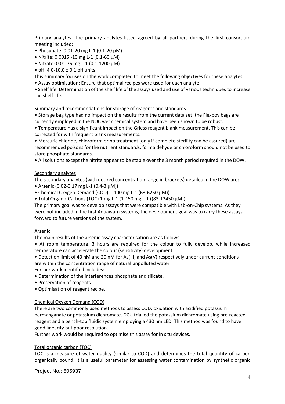Primary analytes: The primary analytes listed agreed by all partners during the first consortium meeting included:

- Phosphate: 0.01-20 mg L-1 (0.1-20 µM)
- Nitrite: 0.0015 -10 mg L-1 (0.1-60 µM)
- Nitrate: 0.01-75 mg L-1 (0.1-1200 µM)
- pH:  $4.0 10.0 \pm 0.1$  pH units

This summary focuses on the work completed to meet the following objectives for these analytes:

• Assay optimisation: Ensure that optimal recipes were used for each analyte;

• Shelf life: Determination of the shelf life of the assays used and use of various techniques to increase the shelf life.

Summary and recommendations for storage of reagents and standards

• Storage bag type had no impact on the results from the current data set; the Flexboy bags are currently employed in the NOC wet chemical system and have been shown to be robust.

• Temperature has a significant impact on the Griess reagent blank measurement. This can be corrected for with frequent blank measurements.

• Mercuric chloride, chloroform or no treatment (only if complete sterility can be assured) are recommended poisons for the nutrient standards; formaldehyde or chloroform should not be used to store phosphate standards.

• All solutions except the nitrite appear to be stable over the 3 month period required in the DOW.

# Secondary analytes

The secondary analytes (with desired concentration range in brackets) detailed in the DOW are:

- Arsenic (0.02-0.17 mg L-1 (0.4-3 μM))
- Chemical Oxygen Demand (COD) 1-100 mg L-1 (63-6250 μM))
- Total Organic Carbons (TOC) 1 mg L-1 (1-150 mg L-1 ((83-12450 μM))

The primary goal was to develop assays that were compatible with Lab-on-Chip systems. As they were not included in the first Aquawarn systems, the development goal was to carry these assays forward to future versions of the system.

# Arsenic

The main results of the arsenic assay characterisation are as follows:

• At room temperature, 3 hours are required for the colour to fully develop, while increased temperature can accelerate the colour (sensitivity) development.

• Detection limit of 40 nM and 20 nM for As(III) and As(V) respectively under current conditions are within the concentration range of natural unpolluted water Further work identified includes:

- Determination of the interferences phosphate and silicate.
- Preservation of reagents
- Optimisation of reagent recipe.

# Chemical Oxygen Demand (COD)

There are two commonly used methods to assess COD: oxidation with acidified potassium permanganate or potassium dichromate. DCU trialled the potassium dichromate using pre-reacted reagent and a bench-top fluidic system employing a 430 nm LED. This method was found to have good linearity but poor resolution.

Further work would be required to optimise this assay for in situ devices.

# Total organic carbon (TOC)

TOC is a measure of water quality (similar to COD) and determines the total quantity of carbon organically bound. It is a useful parameter for assessing water contamination by synthetic organic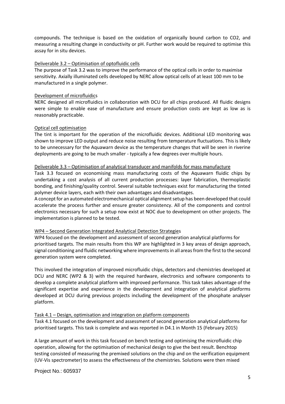compounds. The technique is based on the oxidation of organically bound carbon to CO2, and measuring a resulting change in conductivity or pH. Further work would be required to optimise this assay for in situ devices.

# Deliverable 3.2 – Optimisation of optofluidic cells

The purpose of Task 3.2 was to improve the performance of the optical cells in order to maximise sensitivity. Axially illuminated cells developed by NERC allow optical cells of at least 100 mm to be manufactured in a single polymer.

# Development of microfluidics

NERC designed all microfluidics in collaboration with DCU for all chips produced. All fluidic designs were simple to enable ease of manufacture and ensure production costs are kept as low as is reasonably practicable.

# Optical cell optimisation

The tint is important for the operation of the microfluidic devices. Additional LED monitoring was shown to improve LED output and reduce noise resulting from temperature fluctuations. This is likely to be unnecessary for the Aquawarn device as the temperature changes that will be seen in riverine deployments are going to be much smaller - typically a few degrees over multiple hours.

# Deliverable 3.3 – Optimisation of analytical transducer and manifolds for mass manufacture

Task 3.3 focused on economising mass manufacturing costs of the Aquawarn fluidic chips by undertaking a cost analysis of all current production processes: layer fabrication, thermoplastic bonding, and finishing/quality control. Several suitable techniques exist for manufacturing the tinted polymer device layers, each with their own advantages and disadvantages.

A concept for an automated electromechanical optical alignment setup has been developed that could accelerate the process further and ensure greater consistency. All of the components and control electronics necessary for such a setup now exist at NOC due to development on other projects. The implementation is planned to be tested.

# WP4 – Second Generation Integrated Analytical Detection Strategies

WP4 focused on the development and assessment of second generation analytical platforms for prioritised targets. The main results from this WP are highlighted in 3 key areas of design approach, signal conditioning and fluidic networking where improvements in all areas from the first to the second generation system were completed.

This involved the integration of improved microfluidic chips, detectors and chemistries developed at DCU and NERC (WP2 & 3) with the required hardware, electronics and software components to develop a complete analytical platform with improved performance. This task takes advantage of the significant expertise and experience in the development and integration of analytical platforms developed at DCU during previous projects including the development of the phosphate analyser platform.

# Task 4.1 – Design, optimisation and integration on platform components

Task 4.1 focused on the development and assessment of second generation analytical platforms for prioritised targets. This task is complete and was reported in D4.1 in Month 15 (February 2015)

A large amount of work in this task focused on bench testing and optimising the microfluidic chip operation, allowing for the optimisation of mechanical design to give the best result. Benchtop testing consisted of measuring the premixed solutions on the chip and on the verification equipment (UV-Vis spectrometer) to assess the effectiveness of the chemistries. Solutions were then mixed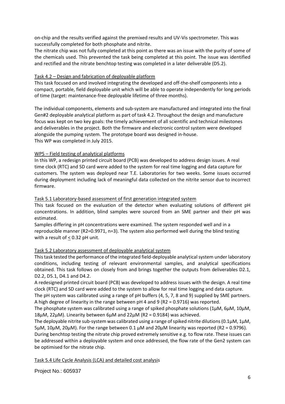on-chip and the results verified against the premixed results and UV-Vis spectrometer. This was successfully completed for both phosphate and nitrite.

The nitrate chip was not fully completed at this point as there was an issue with the purity of some of the chemicals used. This prevented the task being completed at this point. The issue was identified and rectified and the nitrate benchtop testing was completed in a later deliverable (D5.2).

# Task 4.2 – Design and fabrication of deployable platform

This task focused on and involved integrating the developed and off-the-shelf components into a compact, portable, field deployable unit which will be able to operate independently for long periods of time (target: maintenance-free deployable lifetime of three months).

The individual components, elements and sub-system are manufactured and integrated into the final Gen#2 deployable analytical platform as part of task 4.2. Throughout the design and manufacture focus was kept on two key goals: the timely achievement of all scientific and technical milestones and deliverables in the project. Both the firmware and electronic control system were developed alongside the pumping system. The prototype board was designed in-house. This WP was completed in July 2015.

# WP5 – Field testing of analytical platforms

In this WP, a redesign printed circuit board (PCB) was developed to address design issues. A real time clock (RTC) and SD card were added to the system for real time logging and data capture for customers. The system was deployed near T.E. Laboratories for two weeks. Some issues occurred during deployment including lack of meaningful data collected on the nitrite sensor due to incorrect firmware.

# Task 5.1 Laboratory-based assessment of first generation integrated system

This task focused on the evaluation of the detector when evaluating solutions of different pH concentrations. In addition, blind samples were sourced from an SME partner and their pH was estimated.

Samples differing in pH concentrations were examined. The system responded well and in a reproducible manner (R2=0.9971, n=3). The system also performed well during the blind testing with a result of  $\leq$  0.32 pH unit.

# Task 5.2 Laboratory assessment of deployable analytical system

This task tested the performance of the integrated field-deployable analytical system under laboratory conditions, including testing of relevant environmental samples, and analytical specifications obtained. This task follows on closely from and brings together the outputs from deliverables D2.1, D2.2, D5.1, D4.1 and D4.2.

A redesigned printed circuit board (PCB) was developed to address issues with the design. A real time clock (RTC) and SD card were added to the system to allow for real time logging and data capture.

The pH system was calibrated using a range of pH buffers (4, 5, 7, 8 and 9) supplied by SME partners. A high degree of linearity in the range between pH 4 and 9 (R2 = 0.9716) was reported.

The phosphate system was calibrated using a range of spiked phosphate solutions ( $1\mu$ M,  $6\mu$ M,  $10\mu$ M,  $18\mu$ M,  $22\mu$ M). Linearity between  $6\mu$ M and  $22\mu$ M (R2 = 0.9184) was achieved.

The deployable nitrite sub-system was calibrated using a range of spiked nitrite dilutions (0.1 $\mu$ M, 1 $\mu$ M, 5µM, 10µM, 20µM). For the range between 0.1 µM and 20µM linearity was reported (R2 = 0.9796).

During benchtop testing the nitrate chip proved extremely sensitive e.g. to flow rate. These issues can be addressed within a deployable system and once addressed, the flow rate of the Gen2 system can be optimised for the nitrate chip.

# Task 5.4 Life Cycle Analysis (LCA) and detailed cost analysis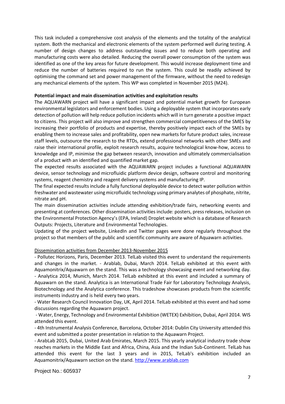This task included a comprehensive cost analysis of the elements and the totality of the analytical system. Both the mechanical and electronic elements of the system performed well during testing. A number of design changes to address outstanding issues and to reduce both operating and manufacturing costs were also detailed. Reducing the overall power consumption of the system was identified as one of the key areas for future development. This would increase deployment time and reduce the number of batteries required to run the system. This could be readily achieved by optimising the command set and power management of the firmware, without the need to redesign any mechanical elements of the system. This WP was completed in November 2015 (M24).

#### **Potential impact and main dissemination activities and exploitation results**

The AQUAWARN project will have a significant impact and potential market growth for European environmental legislators and enforcement bodies. Using a deployable system that incorporates early detection of pollution will help reduce pollution incidents which will in turn generate a positive impact to citizens. This project will also improve and strengthen commercial competitiveness of the SMES by increasing their portfolio of products and expertise, thereby positively impact each of the SMEs by enabling them to increase sales and profitability, open new markets for future product sales, increase staff levels, outsource the research to the RTDs, extend professional networks with other SMEs and raise their international profile, exploit research results, acquire technological know-how, access to knowledge and IP, minimise the gap between research, innovation and ultimately commercialisation of a product with an identified and quantified market gap.

The expected results associated with the AQUAWARN project includes a functional AQUAWARN device, sensor technology and microfluidic platform device design, software control and monitoring systems, reagent chemistry and reagent delivery systems and manufacturing IP.

The final expected results include a fully functional deployable device to detect water pollution within freshwater and wastewater using microfluidic technology using primary analytes of phosphate, nitrite, nitrate and pH.

The main dissemination activities include attending exhibition/trade fairs, networking events and presenting at conferences. Other dissemination activities include: posters, press releases, inclusion on the Environmental Protection Agency's (EPA, Ireland) Droplet website which is a database of Research Outputs: Projects, Literature and Environmental Technologies.

Updating of the project website, LinkedIn and Twitter pages were done regularly throughout the project so that members of the public and scientific community are aware of Aquawarn activities.

#### Dissemination activities from December 2013-November 2015

- Pollutec Horizons, Paris, December 2013. TelLab visited this event to understand the requirements and changes in the market. - Arablab, Dubai, March 2014. TelLab exhibited at this event with Aquamonitrix/Aquawarn on the stand. This was a technology showcasing event and networking day. - Analytica 2014, Munich, March 2014. TelLab exhibited at this event and included a summary of Aquawarn on the stand. Analytica is an International Trade Fair for Laboratory Technology Analysis, Biotechnology and the Analytica conference. This tradeshow showcases products from the scientific instruments industry and is held every two years.

- Water Research Council Innovation Day, UK, April 2014. TelLab exhibited at this event and had some discussions regarding the Aquawarn project.

- Water, Energy, Technology and Environmental Exhibition (WETEX) Exhibition, Dubai, April 2014. WIS attended this event.

- 4th Instrumental Analysis Conference, Barcelona, October 2014: Dublin City University attended this event and submitted a poster presentation in relation to the Aquawarn Project.

- ArabLab 2015, Dubai, United Arab Emirates, March 2015. This yearly analytical industry trade show reaches markets in the Middle East and Africa, China, Asia and the Indian Sub-Continent. TelLab has attended this event for the last 3 years and in 2015, TelLab's exhibition included an Aquamonitrix/Aquawarn section on the stand. [http://www.arablab.com](http://www.arablab.com/)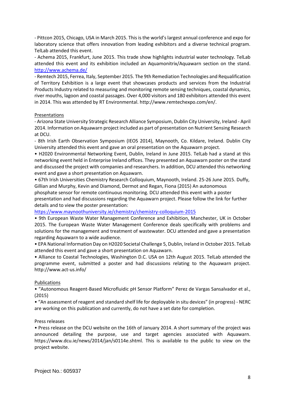- Pittcon 2015, Chicago, USA in March 2015. This is the world's largest annual conference and expo for laboratory science that offers innovation from leading exhibitors and a diverse technical program. TelLab attended this event.

- Achema 2015, Frankfurt, June 2015. This trade show highlights industrial water technology. TelLab attended this event and its exhibition included an Aquamonitrix/Aquawarn section on the stand. <http://www.achema.de/>

- Remtech 2015, Ferrea, Italy, September 2015. The 9th Remediation Technologies and Requalification of Territory Exhibition is a large event that showcases products and services from the Industrial Products Industry related to measuring and monitoring remote sensing techniques, coastal dynamics, river mouths, lagoon and coastal passages. Over 4,000 visitors and 180 exhibitors attended this event in 2014. This was attended by RT Environmental. http://www.remtechexpo.com/en/.

# Presentations

- Arizona State University Strategic Research Alliance Symposium, Dublin City University, Ireland - April 2014. Information on Aquawarn project included as part of presentation on Nutrient Sensing Research at DCU.

- 8th Irish Earth Observation Symposium (IEOS 2014), Maynooth, Co. Kildare, Ireland. Dublin City University attended this event and gave an oral presentation on the Aquawarn project.

• H2020 Environmental Networking Event, Dublin, Ireland in June 2015. TelLab had a stand at this networking event held in Enterprise Ireland offices. They presented an Aquawarn poster on the stand and discussed the project with companies and researchers. In addition, DCU attended this networking event and gave a short presentation on Aquawarn.

• 67th Irish Universities Chemistry Research Colloquium, Maynooth, Ireland. 25-26 June 2015. Duffy, Gillian and Murphy, Kevin and Diamond, Dermot and Regan, Fiona (2015) An autonomous phosphate sensor for remote continuous monitoring. DCU attended this event with a poster presentation and had discussions regarding the Aquawarn project. Please follow the link for further details and to view the poster presentation:

<https://www.maynoothuniversity.ie/chemistry/chemistry-colloquium-2015>

• 9th European Waste Water Management Conference and Exhibition, Manchester, UK in October 2015. The European Waste Water Management Conference deals specifically with problems and solutions for the management and treatment of wastewater. DCU attended and gave a presentation regarding Aquawarn to a wide audience.

• EPA National Information Day on H2020 Societal Challenge 5, Dublin, Ireland in October 2015. TelLab attended this event and gave a short presentation on Aquawarn.

• Alliance to Coastal Technologies, Washington D.C. USA on 12th August 2015. TelLab attended the programme event, submitted a poster and had discussions relating to the Aquawarn project. http://www.act-us.info/

# Publications

• "Autonomous Reagent-Based Microfluidic pH Sensor Platform" Perez de Vargas Sansalvador et al., (2015)

• "An assessment of reagent and standard shelf life for deployable in situ devices" (in progress) - NERC are working on this publication and currently, do not have a set date for completion.

# Press releases

• Press release on the DCU website on the 16th of January 2014. A short summary of the project was announced detailing the purpose, use and target agencies associated with Aquawarn. https://www.dcu.ie/news/2014/jan/s0114e.shtml. This is available to the public to view on the project website.